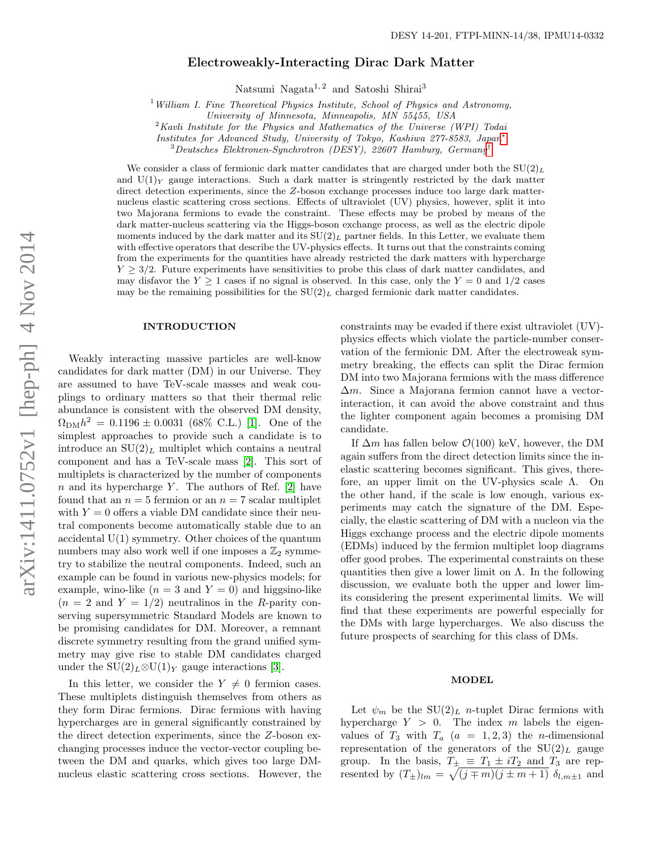# Electroweakly-Interacting Dirac Dark Matter

Natsumi Nagata<sup>1, 2</sup> and Satoshi Shirai<sup>3</sup>

<sup>1</sup> William I. Fine Theoretical Physics Institute, School of Physics and Astronomy,

University of Minnesota, Minneapolis, MN 55455, USA

 $2$ Kavli Institute for the Physics and Mathematics of the Universe (WPI) Todai

Institutes for Advanced Study, University of Tokyo, Kashiwa 277-8583, Japan[∗](#page-4-0)

<sup>3</sup>Deutsches Elektronen-Synchrotron (DESY), 22607 Hamburg, Germany[†](#page-4-1)

We consider a class of fermionic dark matter candidates that are charged under both the  $SU(2)_L$ and  $U(1)_Y$  gauge interactions. Such a dark matter is stringently restricted by the dark matter direct detection experiments, since the Z-boson exchange processes induce too large dark matternucleus elastic scattering cross sections. Effects of ultraviolet (UV) physics, however, split it into two Majorana fermions to evade the constraint. These effects may be probed by means of the dark matter-nucleus scattering via the Higgs-boson exchange process, as well as the electric dipole moments induced by the dark matter and its  $SU(2)_L$  partner fields. In this Letter, we evaluate them with effective operators that describe the UV-physics effects. It turns out that the constraints coming from the experiments for the quantities have already restricted the dark matters with hypercharge  $Y \geq 3/2$ . Future experiments have sensitivities to probe this class of dark matter candidates, and may disfavor the  $Y \geq 1$  cases if no signal is observed. In this case, only the  $Y = 0$  and  $1/2$  cases may be the remaining possibilities for the  $SU(2)_L$  charged fermionic dark matter candidates.

#### INTRODUCTION

Weakly interacting massive particles are well-know candidates for dark matter (DM) in our Universe. They are assumed to have TeV-scale masses and weak couplings to ordinary matters so that their thermal relic abundance is consistent with the observed DM density,  $\Omega_{\text{DM}} h^2 = 0.1196 \pm 0.0031$  (68% C.L.) [\[1\]](#page-4-2). One of the simplest approaches to provide such a candidate is to introduce an  $SU(2)_L$  multiplet which contains a neutral component and has a TeV-scale mass [\[2\]](#page-4-3). This sort of multiplets is characterized by the number of components n and its hypercharge Y. The authors of Ref.  $[2]$  have found that an  $n = 5$  fermion or an  $n = 7$  scalar multiplet with  $Y = 0$  offers a viable DM candidate since their neutral components become automatically stable due to an accidental U(1) symmetry. Other choices of the quantum numbers may also work well if one imposes a  $\mathbb{Z}_2$  symmetry to stabilize the neutral components. Indeed, such an example can be found in various new-physics models; for example, wino-like  $(n = 3$  and  $Y = 0)$  and higgsino-like  $(n = 2 \text{ and } Y = 1/2)$  neutralinos in the R-parity conserving supersymmetric Standard Models are known to be promising candidates for DM. Moreover, a remnant discrete symmetry resulting from the grand unified symmetry may give rise to stable DM candidates charged under the  $SU(2)_L \otimes U(1)_Y$  gauge interactions [\[3\]](#page-4-4).

In this letter, we consider the  $Y \neq 0$  fermion cases. These multiplets distinguish themselves from others as they form Dirac fermions. Dirac fermions with having hypercharges are in general significantly constrained by the direct detection experiments, since the Z-boson exchanging processes induce the vector-vector coupling between the DM and quarks, which gives too large DMnucleus elastic scattering cross sections. However, the

constraints may be evaded if there exist ultraviolet (UV) physics effects which violate the particle-number conservation of the fermionic DM. After the electroweak symmetry breaking, the effects can split the Dirac fermion DM into two Majorana fermions with the mass difference  $\Delta m$ . Since a Majorana fermion cannot have a vectorinteraction, it can avoid the above constraint and thus the lighter component again becomes a promising DM candidate.

If  $\Delta m$  has fallen below  $\mathcal{O}(100)$  keV, however, the DM again suffers from the direct detection limits since the inelastic scattering becomes significant. This gives, therefore, an upper limit on the UV-physics scale Λ. On the other hand, if the scale is low enough, various experiments may catch the signature of the DM. Especially, the elastic scattering of DM with a nucleon via the Higgs exchange process and the electric dipole moments (EDMs) induced by the fermion multiplet loop diagrams offer good probes. The experimental constraints on these quantities then give a lower limit on  $\Lambda$ . In the following discussion, we evaluate both the upper and lower limits considering the present experimental limits. We will find that these experiments are powerful especially for the DMs with large hypercharges. We also discuss the future prospects of searching for this class of DMs.

### MODEL

Let  $\psi_m$  be the SU(2)<sub>L</sub> n-tuplet Dirac fermions with hypercharge  $Y > 0$ . The index m labels the eigenvalues of  $T_3$  with  $T_a$   $(a = 1, 2, 3)$  the *n*-dimensional representation of the generators of the  $SU(2)_L$  gauge group. In the basis,  $T_{\pm} \equiv T_1 \pm i T_2$  and  $T_3$  are represented by  $(T_{\pm})_{lm} = \sqrt{(j \mp m)(j \pm m + 1)} \delta_{l,m \pm 1}$  and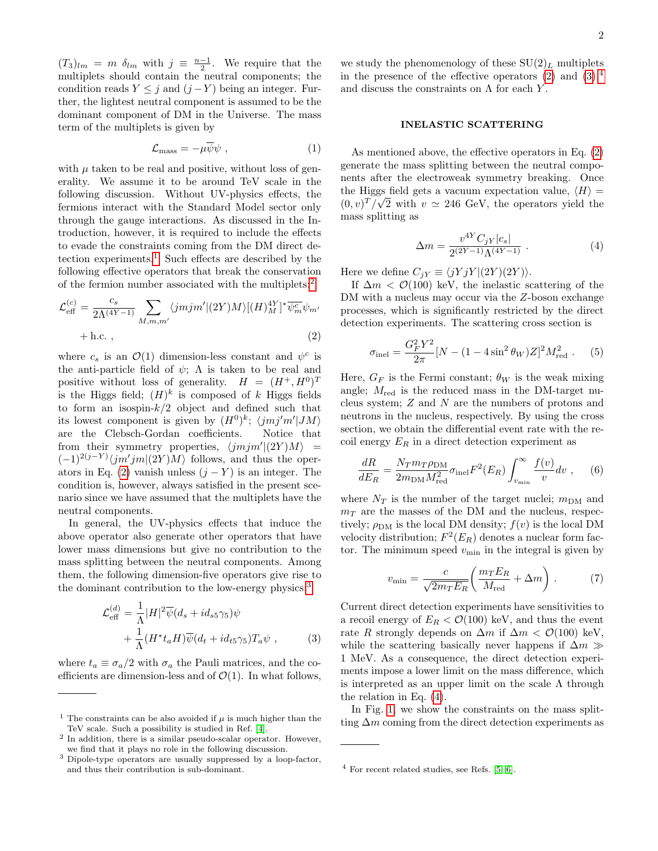$(T_3)_{lm} = m \delta_{lm}$  with  $j \equiv \frac{n-1}{2}$ . We require that the multiplets should contain the neutral components; the condition reads  $Y \leq j$  and  $(j - Y)$  being an integer. Further, the lightest neutral component is assumed to be the dominant component of DM in the Universe. The mass term of the multiplets is given by

$$
\mathcal{L}_{\text{mass}} = -\mu \overline{\psi} \psi \tag{1}
$$

with  $\mu$  taken to be real and positive, without loss of generality. We assume it to be around TeV scale in the following discussion. Without UV-physics effects, the fermions interact with the Standard Model sector only through the gauge interactions. As discussed in the Introduction, however, it is required to include the effects to evade the constraints coming from the DM direct de-tection experiments.<sup>[1](#page-1-0)</sup> Such effects are described by the following effective operators that break the conservation of the fermion number associated with the multiplets:[2](#page-1-1)

$$
\mathcal{L}_{\text{eff}}^{(c)} = \frac{c_s}{2\Lambda^{(4Y-1)}} \sum_{M,m,m'} \langle jmjm' | (2Y)M \rangle [(H)^{4Y}_{M}]^* \overline{\psi_m^c} \psi_{m'}
$$
  
+ h.c. , (2)

where  $c_s$  is an  $\mathcal{O}(1)$  dimension-less constant and  $\psi^c$  is the anti-particle field of  $\psi$ ;  $\Lambda$  is taken to be real and positive without loss of generality.  $H = (H^+, H^0)^T$ is the Higgs field;  $(H)^k$  is composed of k Higgs fields to form an isospin- $k/2$  object and defined such that its lowest component is given by  $(H^0)^k$ ;  $\langle jmj'm'|JM\rangle$ are the Clebsch-Gordan coefficients. Notice that from their symmetry properties,  $\langle jmjm' | (2Y)M \rangle$  =  $(-1)^{2(j-Y)}\langle jm'jm|(2Y)M\rangle$  follows, and thus the oper-ators in Eq. [\(2\)](#page-1-2) vanish unless  $(j - Y)$  is an integer. The condition is, however, always satisfied in the present scenario since we have assumed that the multiplets have the neutral components.

In general, the UV-physics effects that induce the above operator also generate other operators that have lower mass dimensions but give no contribution to the mass splitting between the neutral components. Among them, the following dimension-five operators give rise to the dominant contribution to the low-energy physics:<sup>[3](#page-1-3)</sup>

$$
\mathcal{L}_{\text{eff}}^{(d)} = \frac{1}{\Lambda} |H|^2 \overline{\psi}(d_s + id_{s5} \gamma_5) \psi + \frac{1}{\Lambda} (H^* t_a H) \overline{\psi}(d_t + id_{t5} \gamma_5) T_a \psi ,
$$
 (3)

where  $t_a \equiv \sigma_a/2$  with  $\sigma_a$  the Pauli matrices, and the coefficients are dimension-less and of  $\mathcal{O}(1)$ . In what follows,

we study the phenomenology of these  $SU(2)_L$  multiplets in the presence of the effective operators  $(2)$  and  $(3)$ ,<sup>[4](#page-1-5)</sup> and discuss the constraints on  $\Lambda$  for each Y.

## INELASTIC SCATTERING

As mentioned above, the effective operators in Eq. [\(2\)](#page-1-2) generate the mass splitting between the neutral components after the electroweak symmetry breaking. Once the Higgs field gets a vacuum expectation value,  $\langle H \rangle =$  $(0, v)^T / \sqrt{2}$  with  $v \approx 246$  GeV, the operators yield the mass splitting as

<span id="page-1-6"></span>
$$
\Delta m = \frac{v^{4Y} C_{jY} |c_s|}{2^{(2Y-1)} \Lambda^{(4Y-1)}} . \tag{4}
$$

Here we define  $C_{jY} \equiv \langle jY jY | (2Y) \rangle$ .

<span id="page-1-2"></span>If  $\Delta m < \mathcal{O}(100)$  keV, the inelastic scattering of the DM with a nucleus may occur via the Z-boson exchange processes, which is significantly restricted by the direct detection experiments. The scattering cross section is

$$
\sigma_{\text{inel}} = \frac{G_F^2 Y^2}{2\pi} [N - (1 - 4\sin^2 \theta_W) Z]^2 M_{\text{red}}^2 . \quad (5)
$$

Here,  $G_F$  is the Fermi constant;  $\theta_W$  is the weak mixing angle;  $M_{\text{red}}$  is the reduced mass in the DM-target nucleus system; Z and N are the numbers of protons and neutrons in the nucleus, respectively. By using the cross section, we obtain the differential event rate with the recoil energy  $E_R$  in a direct detection experiment as

$$
\frac{dR}{dE_R} = \frac{N_T m_T \rho_{\rm DM}}{2m_{\rm DM} M_{\rm red}^2} \sigma_{\rm inel} F^2(E_R) \int_{v_{\rm min}}^{\infty} \frac{f(v)}{v} dv , \quad (6)
$$

where  $N_T$  is the number of the target nuclei;  $m_{\text{DM}}$  and  $m<sub>T</sub>$  are the masses of the DM and the nucleus, respectively;  $\rho_{DM}$  is the local DM density;  $f(v)$  is the local DM velocity distribution;  $F^2(E_R)$  denotes a nuclear form factor. The minimum speed  $v_{\text{min}}$  in the integral is given by

$$
v_{\min} = \frac{c}{\sqrt{2m_T E_R}} \left( \frac{m_T E_R}{M_{\text{red}}} + \Delta m \right) . \tag{7}
$$

<span id="page-1-4"></span>Current direct detection experiments have sensitivities to a recoil energy of  $E_R < \mathcal{O}(100)$  keV, and thus the event rate R strongly depends on  $\Delta m$  if  $\Delta m < \mathcal{O}(100)$  keV, while the scattering basically never happens if  $\Delta m \gg$ 1 MeV. As a consequence, the direct detection experiments impose a lower limit on the mass difference, which is interpreted as an upper limit on the scale  $\Lambda$  through the relation in Eq. [\(4\)](#page-1-6).

In Fig. [1,](#page-2-0) we show the constraints on the mass splitting  $\Delta m$  coming from the direct detection experiments as

<span id="page-1-0"></span><sup>&</sup>lt;sup>1</sup> The constraints can be also avoided if  $\mu$  is much higher than the TeV scale. Such a possibility is studied in Ref. [\[4\]](#page-4-5).

<span id="page-1-1"></span><sup>2</sup> In addition, there is a similar pseudo-scalar operator. However, we find that it plays no role in the following discussion.

<span id="page-1-3"></span><sup>3</sup> Dipole-type operators are usually suppressed by a loop-factor, and thus their contribution is sub-dominant.

<span id="page-1-5"></span> $4$  For recent related studies, see Refs. [\[5,](#page-4-6) [6\]](#page-4-7).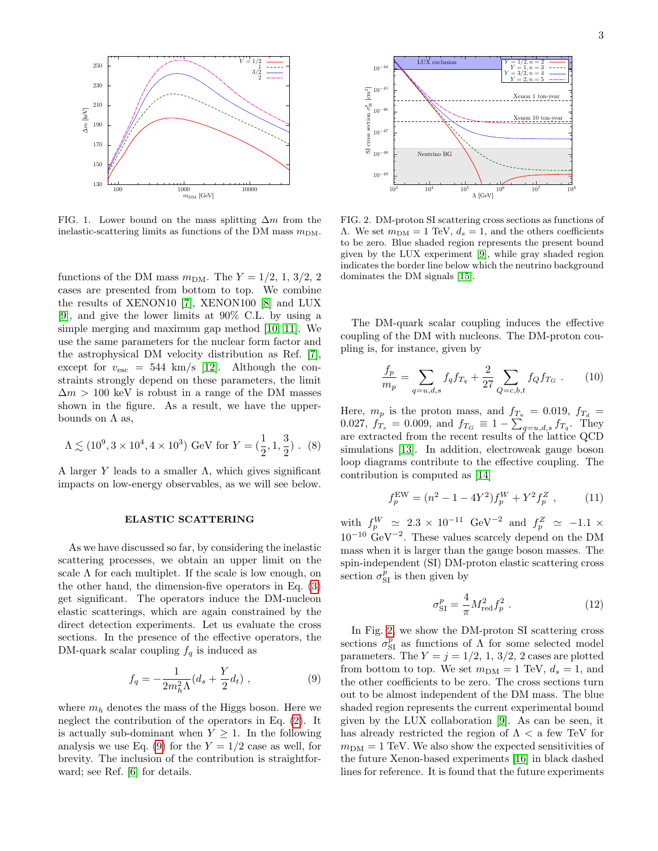

<span id="page-2-0"></span>FIG. 1. Lower bound on the mass splitting  $\Delta m$  from the inelastic-scattering limits as functions of the DM mass  $m_{DM}$ .

functions of the DM mass  $m_{\text{DM}}$ . The  $Y = 1/2, 1, 3/2, 2$ cases are presented from bottom to top. We combine the results of XENON10 [\[7\]](#page-4-8), XENON100 [\[8\]](#page-4-9) and LUX [\[9\]](#page-4-10), and give the lower limits at 90% C.L. by using a simple merging and maximum gap method [\[10,](#page-4-11) [11\]](#page-4-12). We use the same parameters for the nuclear form factor and the astrophysical DM velocity distribution as Ref. [\[7\]](#page-4-8), except for  $v_{\rm esc}$  = 544 km/s [\[12\]](#page-4-13). Although the constraints strongly depend on these parameters, the limit  $\Delta m > 100$  keV is robust in a range of the DM masses shown in the figure. As a result, we have the upperbounds on  $\Lambda$  as,

$$
\Lambda \lesssim (10^9, 3 \times 10^4, 4 \times 10^3) \text{ GeV for } Y = (\frac{1}{2}, 1, \frac{3}{2})
$$
. (8)

A larger Y leads to a smaller  $\Lambda$ , which gives significant impacts on low-energy observables, as we will see below.

#### ELASTIC SCATTERING

As we have discussed so far, by considering the inelastic scattering processes, we obtain an upper limit on the scale  $\Lambda$  for each multiplet. If the scale is low enough, on the other hand, the dimension-five operators in Eq. [\(3\)](#page-1-4) get significant. The operators induce the DM-nucleon elastic scatterings, which are again constrained by the direct detection experiments. Let us evaluate the cross sections. In the presence of the effective operators, the DM-quark scalar coupling  $f_q$  is induced as

<span id="page-2-1"></span>
$$
f_q = -\frac{1}{2m_h^2 \Lambda} (d_s + \frac{Y}{2} d_t) , \qquad (9)
$$

where  $m_h$  denotes the mass of the Higgs boson. Here we neglect the contribution of the operators in Eq. [\(2\)](#page-1-2). It is actually sub-dominant when  $Y \geq 1$ . In the following analysis we use Eq. [\(9\)](#page-2-1) for the  $Y = 1/2$  case as well, for brevity. The inclusion of the contribution is straightforward; see Ref. [\[6\]](#page-4-7) for details.



<span id="page-2-2"></span>FIG. 2. DM-proton SI scattering cross sections as functions of Λ. We set  $m<sub>DM</sub> = 1$  TeV,  $d<sub>s</sub> = 1$ , and the others coefficients to be zero. Blue shaded region represents the present bound given by the LUX experiment [\[9\]](#page-4-10), while gray shaded region indicates the border line below which the neutrino background dominates the DM signals [\[15\]](#page-4-14).

The DM-quark scalar coupling induces the effective coupling of the DM with nucleons. The DM-proton coupling is, for instance, given by

$$
\frac{f_p}{m_p} = \sum_{q=u,d,s} f_q f_{T_q} + \frac{2}{27} \sum_{Q=c,b,t} f_Q f_{T_G} . \tag{10}
$$

<span id="page-2-3"></span>Here,  $m_p$  is the proton mass, and  $f_{T_u} = 0.019$ ,  $f_{T_d} =$ 0.027,  $f_{T_s} = 0.009$ , and  $f_{T_G} \equiv 1 - \sum_{q=u,d,s} f_{T_q}$ . They are extracted from the recent results of the lattice QCD simulations [\[13\]](#page-4-15). In addition, electroweak gauge boson loop diagrams contribute to the effective coupling. The contribution is computed as [\[14\]](#page-4-16)

$$
f_p^{\text{EW}} = (n^2 - 1 - 4Y^2) f_p^W + Y^2 f_p^Z \t{,} \t(11)
$$

with  $f_p^W$   $\approx$  2.3 × 10<sup>-11</sup> GeV<sup>-2</sup> and  $f_p^Z$   $\approx$  -1.1 ×  $10^{-10}$  GeV<sup>-2</sup>. These values scarcely depend on the DM mass when it is larger than the gauge boson masses. The spin-independent (SI) DM-proton elastic scattering cross section  $\sigma_{\text{SI}}^p$  is then given by

$$
\sigma_{\rm SI}^p = \frac{4}{\pi} M_{\rm red}^2 f_p^2 \,. \tag{12}
$$

In Fig. [2,](#page-2-2) we show the DM-proton SI scattering cross sections  $\sigma_{SI}^p$  as functions of  $\Lambda$  for some selected model parameters. The  $Y = j = 1/2, 1, 3/2, 2$  cases are plotted from bottom to top. We set  $m_{DM} = 1$  TeV,  $d_s = 1$ , and the other coefficients to be zero. The cross sections turn out to be almost independent of the DM mass. The blue shaded region represents the current experimental bound given by the LUX collaboration [\[9\]](#page-4-10). As can be seen, it has already restricted the region of  $\Lambda <$  a few TeV for  $m<sub>DM</sub> = 1$  TeV. We also show the expected sensitivities of the future Xenon-based experiments [\[16\]](#page-4-17) in black dashed lines for reference. It is found that the future experiments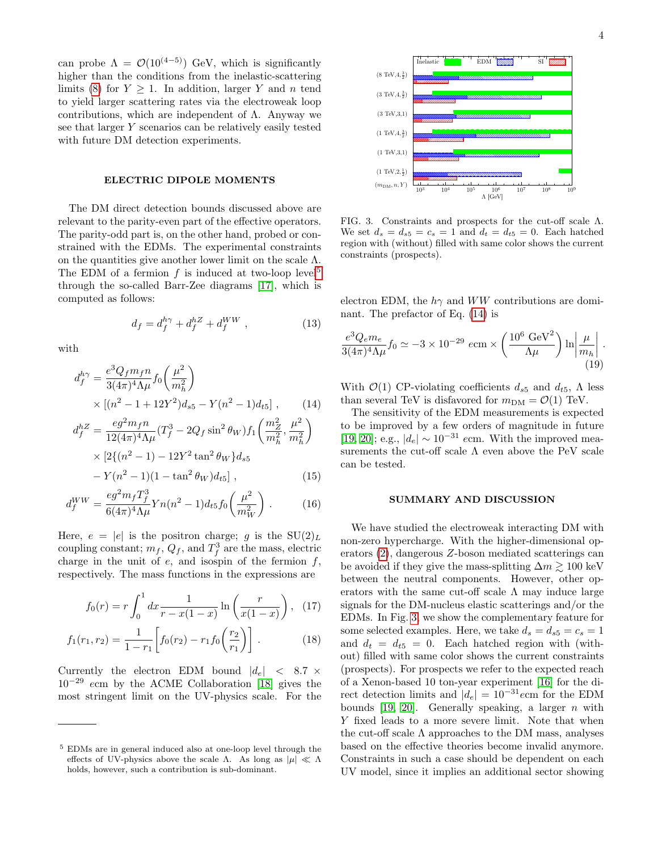can probe  $\Lambda = \mathcal{O}(10^{(4-5)})$  GeV, which is significantly higher than the conditions from the inelastic-scattering limits [\(8\)](#page-2-3) for  $Y \geq 1$ . In addition, larger Y and n tend to yield larger scattering rates via the electroweak loop contributions, which are independent of  $\Lambda$ . Anyway we see that larger Y scenarios can be relatively easily tested with future DM detection experiments.

## ELECTRIC DIPOLE MOMENTS

The DM direct detection bounds discussed above are relevant to the parity-even part of the effective operators. The parity-odd part is, on the other hand, probed or constrained with the EDMs. The experimental constraints on the quantities give another lower limit on the scale  $\Lambda$ . The EDM of a fermion  $f$  is induced at two-loop level<sup>[5](#page-3-0)</sup> through the so-called Barr-Zee diagrams [\[17\]](#page-4-18), which is computed as follows:

$$
d_f = d_f^{h\gamma} + d_f^{hZ} + d_f^{WW} , \qquad (13)
$$

with

$$
d_f^{h\gamma} = \frac{e^3 Q_f m_f n}{3(4\pi)^4 \Lambda \mu} f_0 \left(\frac{\mu^2}{m_h^2}\right) \times \left[ (n^2 - 1 + 12Y^2) d_{s5} - Y(n^2 - 1) d_{t5} \right], \qquad (14)
$$

$$
d_f^{hZ} = \frac{eg^2 m_f n}{12(4\pi)^4 \Lambda \mu} (T_f^3 - 2Q_f \sin^2 \theta_W) f_1 \left(\frac{m_Z^2}{m_h^2}, \frac{\mu^2}{m_h^2}\right)
$$
  
×  $[2\{(n^2 - 1) - 12Y^2 \tan^2 \theta_W\} d_{s5}]$   
–  $Y(n^2 - 1)(1 - \tan^2 \theta_W) d_{s5}]$  (15)

$$
-Y(n^{2}-1)(1-\tan^{2}\theta_{W})d_{t5}],
$$
\n(15)

$$
d_f^{WW} = \frac{eg^2 m_f T_f^3}{6(4\pi)^4 \Lambda \mu} Y n(n^2 - 1) d_{t5} f_0\left(\frac{\mu^2}{m_W^2}\right). \tag{16}
$$

Here,  $e = |e|$  is the positron charge; g is the  $SU(2)_L$ coupling constant;  $m_f$ ,  $Q_f$ , and  $T_f^3$  are the mass, electric charge in the unit of  $e$ , and isospin of the fermion  $f$ , respectively. The mass functions in the expressions are

$$
f_0(r) = r \int_0^1 dx \frac{1}{r - x(1 - x)} \ln\left(\frac{r}{x(1 - x)}\right), \quad (17)
$$

$$
f_1(r_1, r_2) = \frac{1}{1 - r_1} \left[ f_0(r_2) - r_1 f_0\left(\frac{r_2}{r_1}\right) \right]. \tag{18}
$$

Currently the electron EDM bound  $|d_e| \leq 8.7 \times$ 10−<sup>29</sup> ecm by the ACME Collaboration [\[18\]](#page-4-19) gives the most stringent limit on the UV-physics scale. For the



<span id="page-3-2"></span>FIG. 3. Constraints and prospects for the cut-off scale Λ. We set  $d_s = d_{s5} = c_s = 1$  and  $d_t = d_{t5} = 0$ . Each hatched region with (without) filled with same color shows the current constraints (prospects).

electron EDM, the  $h\gamma$  and WW contributions are dominant. The prefactor of Eq. [\(14\)](#page-3-1) is

$$
\frac{e^3 Q_e m_e}{3(4\pi)^4 \Lambda \mu} f_0 \simeq -3 \times 10^{-29} \text{ ecm} \times \left( \frac{10^6 \text{ GeV}^2}{\Lambda \mu} \right) \ln \left| \frac{\mu}{m_h} \right| \tag{19}
$$

<span id="page-3-1"></span>With  $\mathcal{O}(1)$  CP-violating coefficients  $d_{s5}$  and  $d_{t5}$ ,  $\Lambda$  less than several TeV is disfavored for  $m_{DM} = \mathcal{O}(1)$  TeV.

The sensitivity of the EDM measurements is expected to be improved by a few orders of magnitude in future [\[19,](#page-4-20) [20\]](#page-4-21); e.g.,  $|d_e| \sim 10^{-31}$  ecm. With the improved measurements the cut-off scale  $\Lambda$  even above the PeV scale can be tested.

## SUMMARY AND DISCUSSION

We have studied the electroweak interacting DM with non-zero hypercharge. With the higher-dimensional operators [\(2\)](#page-1-2), dangerous Z-boson mediated scatterings can be avoided if they give the mass-splitting  $\Delta m \gtrsim 100$  keV between the neutral components. However, other operators with the same cut-off scale  $\Lambda$  may induce large signals for the DM-nucleus elastic scatterings and/or the EDMs. In Fig. [3,](#page-3-2) we show the complementary feature for some selected examples. Here, we take  $d_s = d_{s5} = c_s = 1$ and  $d_t = d_{t5} = 0$ . Each hatched region with (without) filled with same color shows the current constraints (prospects). For prospects we refer to the expected reach of a Xenon-based 10 ton-year experiment [\[16\]](#page-4-17) for the direct detection limits and  $|d_e| = 10^{-31}$ ecm for the EDM bounds [\[19,](#page-4-20) [20\]](#page-4-21). Generally speaking, a larger  $n$  with Y fixed leads to a more severe limit. Note that when the cut-off scale  $\Lambda$  approaches to the DM mass, analyses based on the effective theories become invalid anymore. Constraints in such a case should be dependent on each UV model, since it implies an additional sector showing

<span id="page-3-0"></span><sup>5</sup> EDMs are in general induced also at one-loop level through the effects of UV-physics above the scale Λ. As long as  $|\mu| \ll \Lambda$ holds, however, such a contribution is sub-dominant.